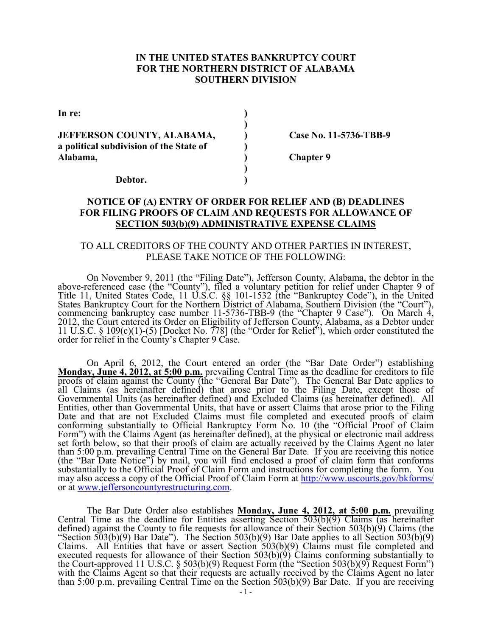## **IN THE UNITED STATES BANKRUPTCY COURT FOR THE NORTHERN DISTRICT OF ALABAMA SOUTHERN DIVISION**

**In re:** (a)  $\qquad \qquad$  (b)  $\qquad \qquad$  (b)  $\qquad \qquad$  (c)  $\qquad \qquad$  (c)  $\qquad \qquad$  (c)  $\qquad \qquad$  (c)  $\qquad \qquad$  (c)  $\qquad \qquad$  (c)  $\qquad \qquad$  (c)  $\qquad \qquad$  (c)  $\qquad \qquad$  (c)  $\qquad \qquad$  (c)  $\qquad \qquad$  (c)  $\qquad \qquad$  (c)  $\qquad \qquad$  (c)  $\qquad \qquad$  (c)

**JEFFERSON COUNTY, ALABAMA, Case No. 11-5736-TBB-9 a political subdivision of the State of ) Alabama, ) Chapter 9 )** 

 **)** 

**Debtor. )** 

# **NOTICE OF (A) ENTRY OF ORDER FOR RELIEF AND (B) DEADLINES FOR FILING PROOFS OF CLAIM AND REQUESTS FOR ALLOWANCE OF SECTION 503(b)(9) ADMINISTRATIVE EXPENSE CLAIMS**

## TO ALL CREDITORS OF THE COUNTY AND OTHER PARTIES IN INTEREST, PLEASE TAKE NOTICE OF THE FOLLOWING:

 On November 9, 2011 (the "Filing Date"), Jefferson County, Alabama, the debtor in the above-referenced case (the "County"), filed a voluntary petition for relief under Chapter 9 of Title 11, United States Code, 11 U.S.C. §§ 101-1532 (the "Bankruptcy Code"), in the United States Bankruptcy Court for the Northern District of Alabama, Southern Division (the "Court"), commencing bankruptcy case number 11-5736-TBB-9 (the "Chapter 9 Case"). On March 4, 2012, the Court entered its Order on Eligibility of Jefferson County, Alabama, as a Debtor under 11 U.S.C. § 109(c)(1)-(5) [Docket No. 778] (the "Order for Relief"), which order constituted the order for relief in the County's Chapter 9 Case.

On April 6, 2012, the Court entered an order (the "Bar Date Order") establishing **Monday, June 4, 2012, at 5:00 p.m.** prevailing Central Time as the deadline for creditors to file proofs of claim against the County (the "General Bar Date"). The General Bar Date applies to all Claims (as hereinafter defined) that arose prior to the Filing Date, except those of Governmental Units (as hereinafter defined) and Excluded Claims (as hereinafter defined). All Entities, other than Governmental Units, that have or assert Claims that arose prior to the Filing Date and that are not Excluded Claims must file completed and executed proofs of claim conforming substantially to Official Bankruptcy Form No. 10 (the "Official Proof of Claim Form") with the Claims Agent (as hereinafter defined), at the physical or electronic mail address set forth below, so that their proofs of claim are actually received by the Claims Agent no later than 5:00 p.m. prevailing Central Time on the General Bar Date. If you are receiving this notice (the "Bar Date Notice") by mail, you will find enclosed a proof of claim form that conforms substantially to the Official Proof of Claim Form and instructions for completing the form. You may also access a copy of the Official Proof of Claim Form at http://www.uscourts.gov/bkforms/ or at www.jeffersoncountyrestructuring.com.

 The Bar Date Order also establishes **Monday, June 4, 2012, at 5:00 p.m.** prevailing Central Time as the deadline for Entities asserting Section  $503(b)(9)$  Claims (as hereinafter defined) against the County to file requests for allowance of their Section 503(b)(9) Claims (the "Section 503(b)(9) Bar Date"). The Section 503(b)(9) Bar Date applies to all Section 503(b)(9) Claims. All Entities that have or assert Section  $503(b)(9)$  Claims must file completed and executed requests for allowance of their Section 503(b)(9) Claims conforming substantially to the Court-approved 11 U.S.C. § 503(b)(9) Request Form (the "Section 503(b)(9) Request Form") with the Claims Agent so that their requests are actually received by the Claims Agent no later than 5:00 p.m. prevailing Central Time on the Section 503(b)(9) Bar Date. If you are receiving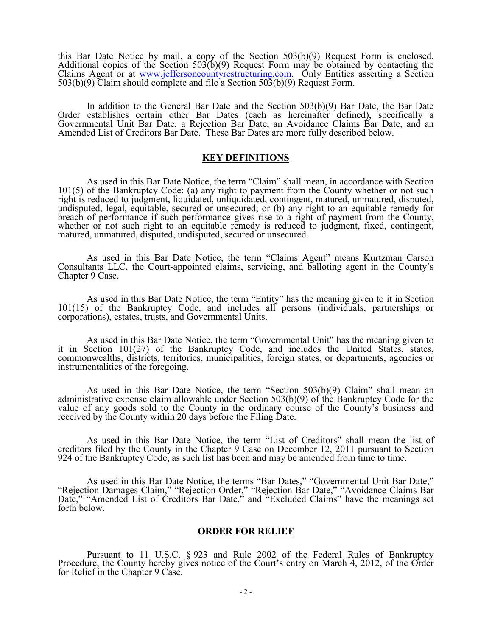this Bar Date Notice by mail, a copy of the Section 503(b)(9) Request Form is enclosed. Additional copies of the Section  $503(b)(9)$  Request Form may be obtained by contacting the Claims Agent or at www.jeffersoncountyrestructuring.com. Only Entities asserting a Section  $503(b)(9)$  Claim should complete and file a Section  $503(b)(9)$  Request Form.

 In addition to the General Bar Date and the Section 503(b)(9) Bar Date, the Bar Date Order establishes certain other Bar Dates (each as hereinafter defined), specifically a Governmental Unit Bar Date, a Rejection Bar Date, an Avoidance Claims Bar Date, and an Amended List of Creditors Bar Date. These Bar Dates are more fully described below.

#### **KEY DEFINITIONS**

 As used in this Bar Date Notice, the term "Claim" shall mean, in accordance with Section 101(5) of the Bankruptcy Code: (a) any right to payment from the County whether or not such right is reduced to judgment, liquidated, unliquidated, contingent, matured, unmatured, disputed, undisputed, legal, equitable, secured or unsecured; or (b) any right to an equitable remedy for breach of performance if such performance gives rise to a right of payment from the County, whether or not such right to an equitable remedy is reduced to judgment, fixed, contingent, matured, unmatured, disputed, undisputed, secured or unsecured.

 As used in this Bar Date Notice, the term "Claims Agent" means Kurtzman Carson Consultants LLC, the Court-appointed claims, servicing, and balloting agent in the County's Chapter 9 Case.

As used in this Bar Date Notice, the term "Entity" has the meaning given to it in Section 101(15) of the Bankruptcy Code, and includes all persons (individuals, partnerships or corporations), estates, trusts, and Governmental Units.

 As used in this Bar Date Notice, the term "Governmental Unit" has the meaning given to it in Section 101(27) of the Bankruptcy Code, and includes the United States, states, commonwealths, districts, territories, municipalities, foreign states, or departments, agencies or instrumentalities of the foregoing.

 As used in this Bar Date Notice, the term "Section 503(b)(9) Claim" shall mean an administrative expense claim allowable under Section 503(b)(9) of the Bankruptcy Code for the value of any goods sold to the County in the ordinary course of the County's business and received by the County within 20 days before the Filing Date.

 As used in this Bar Date Notice, the term "List of Creditors" shall mean the list of creditors filed by the County in the Chapter 9 Case on December 12, 2011 pursuant to Section 924 of the Bankruptcy Code, as such list has been and may be amended from time to time.

 As used in this Bar Date Notice, the terms "Bar Dates," "Governmental Unit Bar Date," "Rejection Damages Claim," "Rejection Order," "Rejection Bar Date," "Avoidance Claims Bar Date," "Amended List of Creditors Bar Date," and "Excluded Claims" have the meanings set forth below.

#### **ORDER FOR RELIEF**

Pursuant to 11 U.S.C. § 923 and Rule 2002 of the Federal Rules of Bankruptcy Procedure, the County hereby gives notice of the Court's entry on March 4, 2012, of the Order for Relief in the Chapter 9 Case.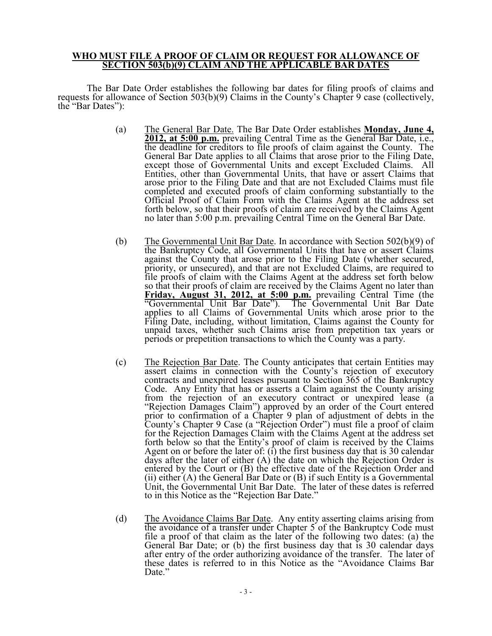#### **WHO MUST FILE A PROOF OF CLAIM OR REQUEST FOR ALLOWANCE OF SECTION 503(b)(9) CLAIM AND THE APPLICABLE BAR DATES**

 The Bar Date Order establishes the following bar dates for filing proofs of claims and requests for allowance of Section 503(b)(9) Claims in the County's Chapter 9 case (collectively, the "Bar Dates"):

- (a) The General Bar Date. The Bar Date Order establishes **Monday, June 4, 2012, at 5:00 p.m.** prevailing Central Time as the General Bar Date, i.e., the deadline for creditors to file proofs of claim against the County. The General Bar Date applies to all Claims that arose prior to the Filing Date, except those of Governmental Units and except Excluded Claims. All Entities, other than Governmental Units, that have or assert Claims that arose prior to the Filing Date and that are not Excluded Claims must file completed and executed proofs of claim conforming substantially to the Official Proof of Claim Form with the Claims Agent at the address set forth below, so that their proofs of claim are received by the Claims Agent no later than 5:00 p.m. prevailing Central Time on the General Bar Date.
- (b) The Governmental Unit Bar Date. In accordance with Section  $502(b)(9)$  of the Bankruptcy Code, all Governmental Units that have or assert Claims against the County that arose prior to the Filing Date (whether secured, priority, or unsecured), and that are not Excluded Claims, are required to file proofs of claim with the Claims Agent at the address set forth below so that their proofs of claim are received by the Claims Agent no later than **Friday, August 31, 2012, at 5:00 p.m.** prevailing Central Time (the "Governmental Unit Bar Date"). The Governmental Unit Bar Date applies to all Claims of Governmental Units which arose prior to the Filing Date, including, without limitation, Claims against the County for unpaid taxes, whether such Claims arise from prepetition tax years or periods or prepetition transactions to which the County was a party.
- (c) The Rejection Bar Date. The County anticipates that certain Entities may assert claims in connection with the County's rejection of executory contracts and unexpired leases pursuant to Section 365 of the Bankruptcy Code. Any Entity that has or asserts a Claim against the County arising from the rejection of an executory contract or unexpired lease (a "Rejection Damages Claim") approved by an order of the Court entered prior to confirmation of a Chapter 9 plan of adjustment of debts in the County's Chapter 9 Case (a "Rejection Order") must file a proof of claim for the Rejection Damages Claim with the Claims Agent at the address set forth below so that the Entity's proof of claim is received by the Claims Agent on or before the later of: (i) the first business day that is 30 calendar days after the later of either (A) the date on which the Rejection Order is entered by the Court or (B) the effective date of the Rejection Order and (ii) either  $(A)$  the General Bar Date or  $(B)$  if such Entity is a Governmental Unit, the Governmental Unit Bar Date. The later of these dates is referred to in this Notice as the "Rejection Bar Date."
- (d) The Avoidance Claims Bar Date. Any entity asserting claims arising from the avoidance of a transfer under Chapter 5 of the Bankruptcy Code must file a proof of that claim as the later of the following two dates: (a) the General Bar Date; or (b) the first business day that is 30 calendar days after entry of the order authorizing avoidance of the transfer. The later of these dates is referred to in this Notice as the "Avoidance Claims Bar Date."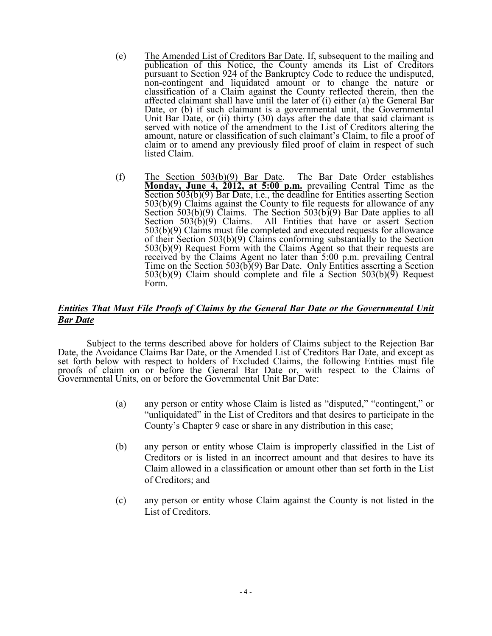- (e) The Amended List of Creditors Bar Date. If, subsequent to the mailing and publication of this Notice, the County amends its List of Creditors pursuant to Section 924 of the Bankruptcy Code to reduce the undisputed, non-contingent and liquidated amount or to change the nature or classification of a Claim against the County reflected therein, then the affected claimant shall have until the later of (i) either (a) the General Bar Date, or (b) if such claimant is a governmental unit, the Governmental Unit Bar Date, or (ii) thirty (30) days after the date that said claimant is served with notice of the amendment to the List of Creditors altering the amount, nature or classification of such claimant's Claim, to file a proof of claim or to amend any previously filed proof of claim in respect of such listed Claim.
- (f) The Section 503(b)(9) Bar Date. The Bar Date Order establishes **Monday, June 4, 2012, at 5:00 p.m.** prevailing Central Time as the Section 503(b)(9) Bar Date, i.e., the deadline for Entities asserting Section 503(b)(9) Claims against the County to file requests for allowance of any Section 503(b)(9) Claims. The Section 503(b)(9) Bar Date applies to all Section  $503(b)(9)$  Claims. All Entities that have or assert Section 503(b)(9) Claims must file completed and executed requests for allowance of their Section 503(b)(9) Claims conforming substantially to the Section 503(b)(9) Request Form with the Claims Agent so that their requests are received by the Claims Agent no later than 5:00 p.m. prevailing Central Time on the Section  $503(b)(9)$  Bar Date. Only Entities asserting a Section  $503(b)(9)$  Claim should complete and file a Section  $503(b)(9)$  Request Form.

# *Entities That Must File Proofs of Claims by the General Bar Date or the Governmental Unit Bar Date*

 Subject to the terms described above for holders of Claims subject to the Rejection Bar Date, the Avoidance Claims Bar Date, or the Amended List of Creditors Bar Date, and except as set forth below with respect to holders of Excluded Claims, the following Entities must file proofs of claim on or before the General Bar Date or, with respect to the Claims of Governmental Units, on or before the Governmental Unit Bar Date:

- (a) any person or entity whose Claim is listed as "disputed," "contingent," or "unliquidated" in the List of Creditors and that desires to participate in the County's Chapter 9 case or share in any distribution in this case:
- (b) any person or entity whose Claim is improperly classified in the List of Creditors or is listed in an incorrect amount and that desires to have its Claim allowed in a classification or amount other than set forth in the List of Creditors; and
- (c) any person or entity whose Claim against the County is not listed in the List of Creditors.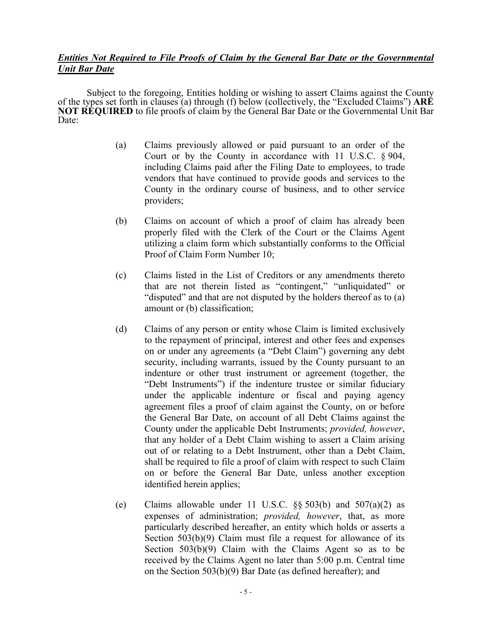# *Entities Not Required to File Proofs of Claim by the General Bar Date or the Governmental Unit Bar Date*

 Subject to the foregoing, Entities holding or wishing to assert Claims against the County of the types set forth in clauses (a) through (f) below (collectively, the "Excluded Claims") **ARE NOT REQUIRED** to file proofs of claim by the General Bar Date or the Governmental Unit Bar Date:

- (a) Claims previously allowed or paid pursuant to an order of the Court or by the County in accordance with 11 U.S.C. § 904, including Claims paid after the Filing Date to employees, to trade vendors that have continued to provide goods and services to the County in the ordinary course of business, and to other service providers;
- (b) Claims on account of which a proof of claim has already been properly filed with the Clerk of the Court or the Claims Agent utilizing a claim form which substantially conforms to the Official Proof of Claim Form Number 10;
- (c) Claims listed in the List of Creditors or any amendments thereto that are not therein listed as "contingent," "unliquidated" or "disputed" and that are not disputed by the holders thereof as to (a) amount or (b) classification;
- (d) Claims of any person or entity whose Claim is limited exclusively to the repayment of principal, interest and other fees and expenses on or under any agreements (a "Debt Claim") governing any debt security, including warrants, issued by the County pursuant to an indenture or other trust instrument or agreement (together, the "Debt Instruments") if the indenture trustee or similar fiduciary under the applicable indenture or fiscal and paying agency agreement files a proof of claim against the County, on or before the General Bar Date, on account of all Debt Claims against the County under the applicable Debt Instruments; *provided, however*, that any holder of a Debt Claim wishing to assert a Claim arising out of or relating to a Debt Instrument, other than a Debt Claim, shall be required to file a proof of claim with respect to such Claim on or before the General Bar Date, unless another exception identified herein applies;
- (e) Claims allowable under 11 U.S.C.  $\S$ § 503(b) and 507(a)(2) as expenses of administration; *provided, however*, that, as more particularly described hereafter, an entity which holds or asserts a Section 503(b)(9) Claim must file a request for allowance of its Section 503(b)(9) Claim with the Claims Agent so as to be received by the Claims Agent no later than 5:00 p.m. Central time on the Section 503(b)(9) Bar Date (as defined hereafter); and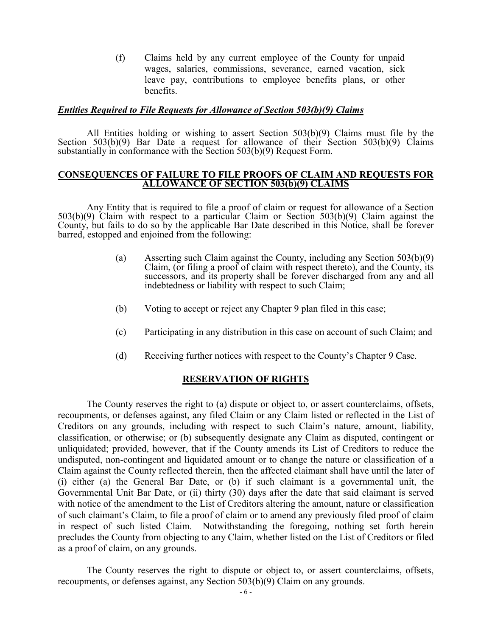(f) Claims held by any current employee of the County for unpaid wages, salaries, commissions, severance, earned vacation, sick leave pay, contributions to employee benefits plans, or other benefits.

### *Entities Required to File Requests for Allowance of Section 503(b)(9) Claims*

 All Entities holding or wishing to assert Section 503(b)(9) Claims must file by the Section  $503(b)(9)$  Bar Date a request for allowance of their Section  $503(b)(9)$  Claims substantially in conformance with the Section 503(b)(9) Request Form.

#### **CONSEQUENCES OF FAILURE TO FILE PROOFS OF CLAIM AND REQUESTS FOR ALLOWANCE OF SECTION 503(b)(9) CLAIMS**

 Any Entity that is required to file a proof of claim or request for allowance of a Section 503(b)(9) Claim with respect to a particular Claim or Section 503(b)(9) Claim against the County, but fails to do so by the applicable Bar Date described in this Notice, shall be forever barred, estopped and enjoined from the following:

- (a) Asserting such Claim against the County, including any Section 503(b)(9) Claim, (or filing a proof of claim with respect thereto), and the County, its successors, and its property shall be forever discharged from any and all indebtedness or liability with respect to such Claim;
- (b) Voting to accept or reject any Chapter 9 plan filed in this case;
- (c) Participating in any distribution in this case on account of such Claim; and
- (d) Receiving further notices with respect to the County's Chapter 9 Case.

## **RESERVATION OF RIGHTS**

The County reserves the right to (a) dispute or object to, or assert counterclaims, offsets, recoupments, or defenses against, any filed Claim or any Claim listed or reflected in the List of Creditors on any grounds, including with respect to such Claim's nature, amount, liability, classification, or otherwise; or (b) subsequently designate any Claim as disputed, contingent or unliquidated; provided, however, that if the County amends its List of Creditors to reduce the undisputed, non-contingent and liquidated amount or to change the nature or classification of a Claim against the County reflected therein, then the affected claimant shall have until the later of (i) either (a) the General Bar Date, or (b) if such claimant is a governmental unit, the Governmental Unit Bar Date, or (ii) thirty (30) days after the date that said claimant is served with notice of the amendment to the List of Creditors altering the amount, nature or classification of such claimant's Claim, to file a proof of claim or to amend any previously filed proof of claim in respect of such listed Claim. Notwithstanding the foregoing, nothing set forth herein precludes the County from objecting to any Claim, whether listed on the List of Creditors or filed as a proof of claim, on any grounds.

The County reserves the right to dispute or object to, or assert counterclaims, offsets, recoupments, or defenses against, any Section 503(b)(9) Claim on any grounds.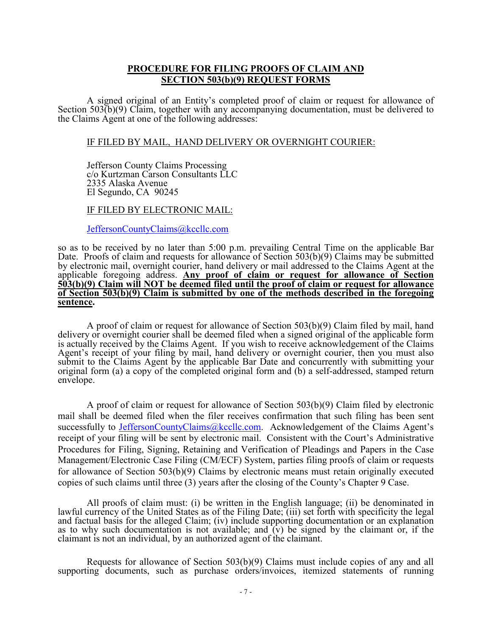## **PROCEDURE FOR FILING PROOFS OF CLAIM AND SECTION 503(b)(9) REQUEST FORMS**

 A signed original of an Entity's completed proof of claim or request for allowance of Section 503(b)(9) Claim, together with any accompanying documentation, must be delivered to the Claims Agent at one of the following addresses:

### IF FILED BY MAIL, HAND DELIVERY OR OVERNIGHT COURIER:

Jefferson County Claims Processing c/o Kurtzman Carson Consultants LLC 2335 Alaska Avenue El Segundo, CA 90245

### IF FILED BY ELECTRONIC MAIL:

JeffersonCountyClaims@kccllc.com

so as to be received by no later than 5:00 p.m. prevailing Central Time on the applicable Bar Date. Proofs of claim and requests for allowance of Section 503(b)(9) Claims may be submitted by electronic mail, overnight courier, hand delivery or mail addressed to the Claims Agent at the applicable foregoing address. **Any proof of claim or request for allowance of Section 503(b)(9) Claim will NOT be deemed filed until the proof of claim or request for allowance of Section 503(b)(9) Claim is submitted by one of the methods described in the foregoing sentence.**

A proof of claim or request for allowance of Section 503(b)(9) Claim filed by mail, hand delivery or overnight courier shall be deemed filed when a signed original of the applicable form is actually received by the Claims Agent. If you wish to receive acknowledgement of the Claims Agent's receipt of your filing by mail, hand delivery or overnight courier, then you must also submit to the Claims Agent by the applicable Bar Date and concurrently with submitting your original form (a) a copy of the completed original form and (b) a self-addressed, stamped return envelope.

A proof of claim or request for allowance of Section 503(b)(9) Claim filed by electronic mail shall be deemed filed when the filer receives confirmation that such filing has been sent successfully to JeffersonCountyClaims@kccllc.com. Acknowledgement of the Claims Agent's receipt of your filing will be sent by electronic mail. Consistent with the Court's Administrative Procedures for Filing, Signing, Retaining and Verification of Pleadings and Papers in the Case Management/Electronic Case Filing (CM/ECF) System, parties filing proofs of claim or requests for allowance of Section 503(b)(9) Claims by electronic means must retain originally executed copies of such claims until three (3) years after the closing of the County's Chapter 9 Case.

 All proofs of claim must: (i) be written in the English language; (ii) be denominated in lawful currency of the United States as of the Filing Date; (iii) set forth with specificity the legal and factual basis for the alleged Claim; (iv) include supporting documentation or an explanation as to why such documentation is not available; and (v) be signed by the claimant or, if the claimant is not an individual, by an authorized agent of the claimant.

 Requests for allowance of Section 503(b)(9) Claims must include copies of any and all supporting documents, such as purchase orders/invoices, itemized statements of running